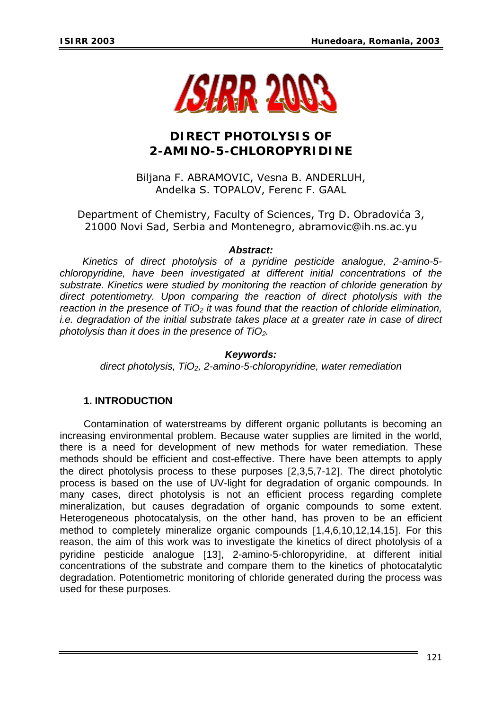

# **DIRECT PHOTOLYSIS OF 2-AMINO-5-CHLOROPYRIDINE**

Biljana F. ABRAMOVIC, Vesna B. ANDERLUH, Andelka S. TOPALOV, Ferenc F. GAAL

Department of Chemistry, Faculty of Sciences, Trg D. Obradovića 3, 21000 Novi Sad, Serbia and Montenegro, abramovic@ih.ns.ac.yu

## *Abstract:*

*Kinetics of direct photolysis of a pyridine pesticide analogue, 2-amino-5 chloropyridine, have been investigated at different initial concentrations of the substrate. Kinetics were studied by monitoring the reaction of chloride generation by direct potentiometry. Upon comparing the reaction of direct photolysis with the reaction in the presence of TiO<sub>2</sub> it was found that the reaction of chloride elimination, i.e. degradation of the initial substrate takes place at a greater rate in case of direct photolysis than it does in the presence of TiO2.* 

#### *Keywords:*

*direct photolysis, TiO2, 2-amino-5-chloropyridine, water remediation*

# **1. INTRODUCTION**

 Contamination of waterstreams by different organic pollutants is becoming an increasing environmental problem. Because water supplies are limited in the world, there is a need for development of new methods for water remediation. These methods should be efficient and cost-effective. There have been attempts to apply the direct photolysis process to these purposes [2,3,5,7-12]. The direct photolytic process is based on the use of UV-light for degradation of organic compounds. In many cases, direct photolysis is not an efficient process regarding complete mineralization, but causes degradation of organic compounds to some extent. Heterogeneous photocatalysis, on the other hand, has proven to be an efficient method to completely mineralize organic compounds [1,4,6,10,12,14,15]. For this reason, the aim of this work was to investigate the kinetics of direct photolysis of a pyridine pesticide analogue [13], 2-amino-5-chloropyridine, at different initial concentrations of the substrate and compare them to the kinetics of photocatalytic degradation. Potentiometric monitoring of chloride generated during the process was used for these purposes.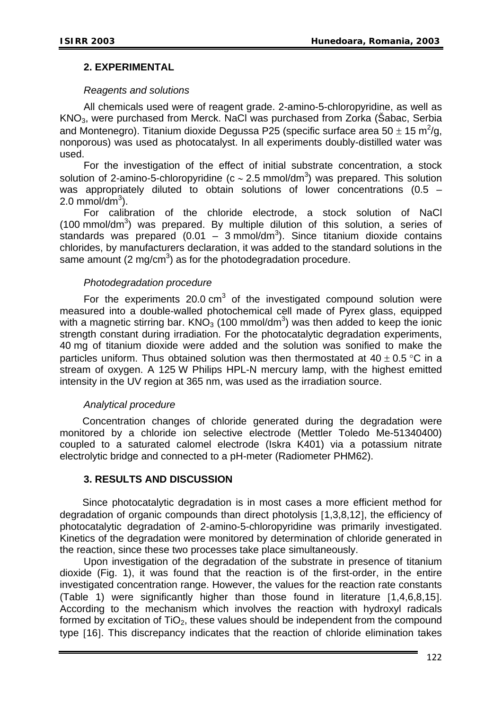## **2. EXPERIMENTAL**

### *Reagents and solutions*

All chemicals used were of reagent grade. 2-amino-5-chloropyridine, as well as KNO3, were purchased from Merck. NaCl was purchased from Zorka (Šabac, Serbia and Montenegro). Titanium dioxide Degussa P25 (specific surface area 50  $\pm$  15 m<sup>2</sup>/g, nonporous) was used as photocatalyst. In all experiments doubly-distilled water was used.

 For the investigation of the effect of initial substrate concentration, a stock solution of 2-amino-5-chloropyridine (c ~ 2.5 mmol/dm<sup>3</sup>) was prepared. This solution was appropriately diluted to obtain solutions of lower concentrations (0.5 –  $2.0 \text{ mmol/dm}^3$ ).

 For calibration of the chloride electrode, a stock solution of NaCl  $(100 \text{ mmol/dm}^3)$  was prepared. By multiple dilution of this solution, a series of standards was prepared  $(0.01 - 3 \text{ mmol/dm}^3)$ . Since titanium dioxide contains chlorides, by manufacturers declaration, it was added to the standard solutions in the same amount (2 mg/cm<sup>3</sup>) as for the photodegradation procedure.

## *Photodegradation procedure*

For the experiments 20.0  $cm<sup>3</sup>$  of the investigated compound solution were measured into a double-walled photochemical cell made of Pyrex glass, equipped with a magnetic stirring bar.  $KNO_3$  (100 mmol/dm<sup>3</sup>) was then added to keep the ionic strength constant during irradiation. For the photocatalytic degradation experiments, 40 mg of titanium dioxide were added and the solution was sonified to make the particles uniform. Thus obtained solution was then thermostated at  $40 \pm 0.5$  °C in a stream of oxygen. A 125 W Philips HPL-N mercury lamp, with the highest emitted intensity in the UV region at 365 nm, was used as the irradiation source.

# *Analytical procedure*

Concentration changes of chloride generated during the degradation were monitored by a chloride ion selective electrode (Mettler Toledo Me-51340400) coupled to a saturated calomel electrode (Iskra K401) via a potassium nitrate electrolytic bridge and connected to a pH-meter (Radiometer PHM62).

#### **3. RESULTS AND DISCUSSION**

Since photocatalytic degradation is in most cases a more efficient method for degradation of organic compounds than direct photolysis [1,3,8,12], the efficiency of photocatalytic degradation of 2-amino-5-chloropyridine was primarily investigated. Kinetics of the degradation were monitored by determination of chloride generated in the reaction, since these two processes take place simultaneously.

 Upon investigation of the degradation of the substrate in presence of titanium dioxide (Fig. 1), it was found that the reaction is of the first-order, in the entire investigated concentration range. However, the values for the reaction rate constants (Table 1) were significantly higher than those found in literature [1,4,6,8,15]. According to the mechanism which involves the reaction with hydroxyl radicals formed by excitation of  $TiO<sub>2</sub>$ , these values should be independent from the compound type [16]. This discrepancy indicates that the reaction of chloride elimination takes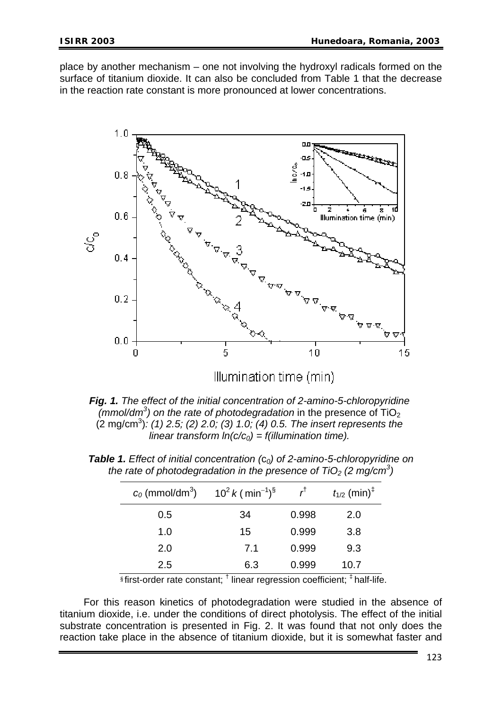place by another mechanism – one not involving the hydroxyl radicals formed on the surface of titanium dioxide. It can also be concluded from Table 1 that the decrease in the reaction rate constant is more pronounced at lower concentrations.



*Fig. 1. The effect of the initial concentration of 2-amino-5-chloropyridine (mmol/dm<sup>3</sup>)* on the rate of photodegradation in the presence of TiO<sub>2</sub> (2 mg/cm3 )*: (1) 2.5; (2) 2.0; (3) 1.0; (4) 0.5. The insert represents the linear transform*  $In(c/c<sub>0</sub>) = f(illumination time)$ *.* 

| $c_0$ (mmol/dm <sup>3</sup> ) | $10^2$ k ( min <sup>-1</sup> ) <sup>§</sup> | r <sup>t</sup> | $t_{1/2}$ (min) <sup>‡</sup> |
|-------------------------------|---------------------------------------------|----------------|------------------------------|
| 0.5                           | 34                                          | 0.998          | 2.0                          |
| 1.0                           | 15                                          | 0.999          | 3.8                          |
| 2.0                           | 7.1                                         | 0.999          | 9.3                          |
| 2.5                           | 6.3                                         | 0.999          | 10.7                         |

*Table 1. Effect of initial concentration (*c*0) of 2-amino-5-chloropyridine on*  the rate of photodegradation in the presence of  $TiO<sub>2</sub>$  (2 mg/cm<sup>3</sup>)

<sup>§</sup>first-order rate constant; <sup>†</sup> linear regression coefficient; <sup>‡</sup> half-life.

 For this reason kinetics of photodegradation were studied in the absence of titanium dioxide, i.e. under the conditions of direct photolysis. The effect of the initial substrate concentration is presented in Fig. 2. It was found that not only does the reaction take place in the absence of titanium dioxide, but it is somewhat faster and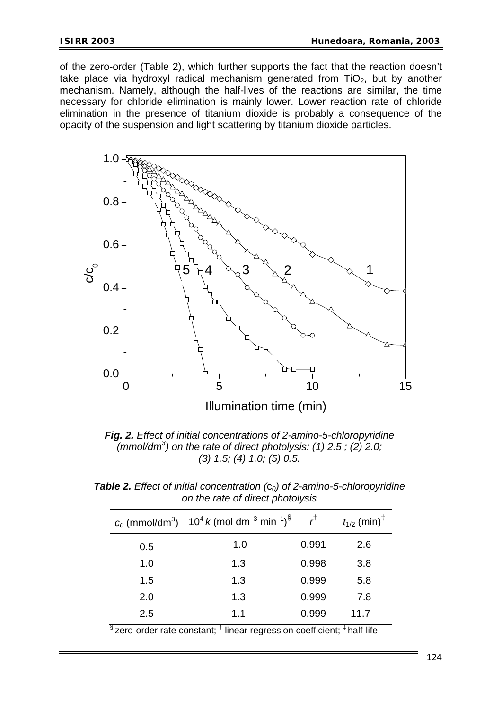of the zero-order (Table 2), which further supports the fact that the reaction doesn't take place via hydroxyl radical mechanism generated from  $TiO<sub>2</sub>$ , but by another mechanism. Namely, although the half-lives of the reactions are similar, the time necessary for chloride elimination is mainly lower. Lower reaction rate of chloride elimination in the presence of titanium dioxide is probably a consequence of the opacity of the suspension and light scattering by titanium dioxide particles.



*Fig. 2. Effect of initial concentrations of 2-amino-5-chloropyridine*   $(mmol/dm<sup>3</sup>)$  on the rate of direct photolysis: (1) 2.5; (2) 2.0; *(3) 1.5; (4) 1.0; (5) 0.5.* 

|     | $c_0$ (mmol/dm <sup>3</sup> ) 10 <sup>4</sup> k (mol dm <sup>-3</sup> min <sup>-1</sup> ) <sup>§</sup> | r <sup>†</sup> | $t_{1/2}$ (min) <sup><math>\ddagger</math></sup> |  |
|-----|--------------------------------------------------------------------------------------------------------|----------------|--------------------------------------------------|--|
| 0.5 | 1.0                                                                                                    | 0.991          | 2.6                                              |  |
| 1.0 | 1.3                                                                                                    | 0.998          | 3.8                                              |  |
| 1.5 | 1.3                                                                                                    | 0.999          | 5.8                                              |  |
| 2.0 | 1.3                                                                                                    | 0.999          | 7.8                                              |  |
| 2.5 | 1.1                                                                                                    | 0.999          | 11.7                                             |  |
| ু   | $+$                                                                                                    |                | $+$                                              |  |

*Table 2. Effect of initial concentration (*c*0) of 2-amino-5-chloropyridine on the rate of direct photolysis* 

 $\frac{1}{3}$ zero-order rate constant; <sup>†</sup> linear regression coefficient; <sup>‡</sup> half-life.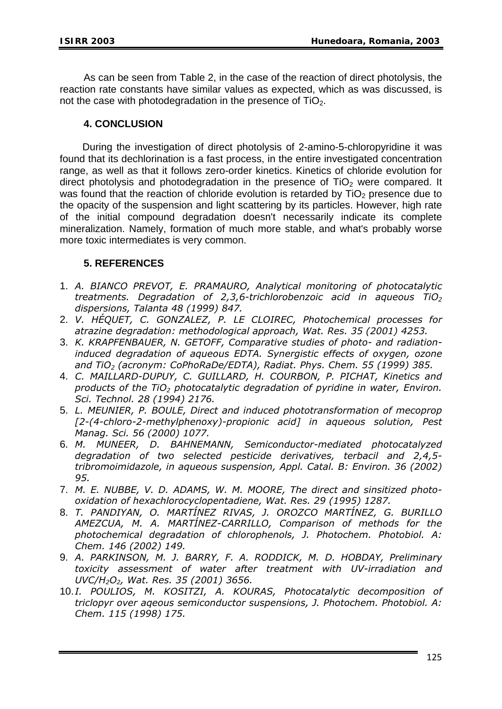As can be seen from Table 2, in the case of the reaction of direct photolysis, the reaction rate constants have similar values as expected, which as was discussed, is not the case with photodegradation in the presence of  $TiO<sub>2</sub>$ .

# **4. CONCLUSION**

During the investigation of direct photolysis of 2-amino-5-chloropyridine it was found that its dechlorination is a fast process, in the entire investigated concentration range, as well as that it follows zero-order kinetics. Kinetics of chloride evolution for direct photolysis and photodegradation in the presence of  $TiO<sub>2</sub>$  were compared. It was found that the reaction of chloride evolution is retarded by  $TiO<sub>2</sub>$  presence due to the opacity of the suspension and light scattering by its particles. However, high rate of the initial compound degradation doesn't necessarily indicate its complete mineralization. Namely, formation of much more stable, and what's probably worse more toxic intermediates is very common.

# **5. REFERENCES**

- 1. *A. BIANCO PREVOT, E. PRAMAURO, Analytical monitoring of photocatalytic treatments. Degradation of 2,3,6-trichlorobenzoic acid in aqueous TiO2 dispersions, Talanta 48 (1999) 847.*
- 2. *V. HÉQUET, C. GONZALEZ, P. LE CLOIREC, Photochemical processes for atrazine degradation: methodological approach, Wat. Res. 35 (2001) 4253.*
- 3. *K. KRAPFENBAUER, N. GETOFF, Comparative studies of photo- and radiationinduced degradation of aqueous EDTA. Synergistic effects of oxygen, ozone and TiO2 (acronym: CoPhoRaDe/EDTA), Radiat. Phys. Chem. 55 (1999) 385.*
- 4. *C. MAILLARD-DUPUY, C. GUILLARD, H. COURBON, P. PICHAT, Kinetics and products of the TiO2 photocatalytic degradation of pyridine in water, Environ. Sci. Technol. 28 (1994) 2176.*
- 5. *L. MEUNIER, P. BOULE, Direct and induced phototransformation of mecoprop [2-(4-chloro-2-methylphenoxy)-propionic acid] in aqueous solution, Pest Manag. Sci. 56 (2000) 1077.*
- 6. *M. MUNEER, D. BAHNEMANN, Semiconductor-mediated photocatalyzed degradation of two selected pesticide derivatives, terbacil and 2,4,5 tribromoimidazole, in aqueous suspension, Appl. Catal. B: Environ. 36 (2002) 95.*
- 7. *M. E. NUBBE, V. D. ADAMS, W. M. MOORE, The direct and sinsitized photooxidation of hexachlorocyclopentadiene, Wat. Res. 29 (1995) 1287.*
- 8. *T. PANDIYAN, O. MARTÍNEZ RIVAS, J. OROZCO MARTÍNEZ, G. BURILLO AMEZCUA, M. A. MARTÍNEZ-CARRILLO, Comparison of methods for the photochemical degradation of chlorophenols, J. Photochem. Photobiol. A: Chem. 146 (2002) 149.*
- 9. *A. PARKINSON, M. J. BARRY, F. A. RODDICK, M. D. HOBDAY, Preliminary toxicity assessment of water after treatment with UV-irradiation and UVC/H2O2, Wat. Res. 35 (2001) 3656.*
- 10. *I. POULIOS, M. KOSITZI, A. KOURAS, Photocatalytic decomposition of triclopyr over aqeous semiconductor suspensions, J. Photochem. Photobiol. A: Chem. 115 (1998) 175.*